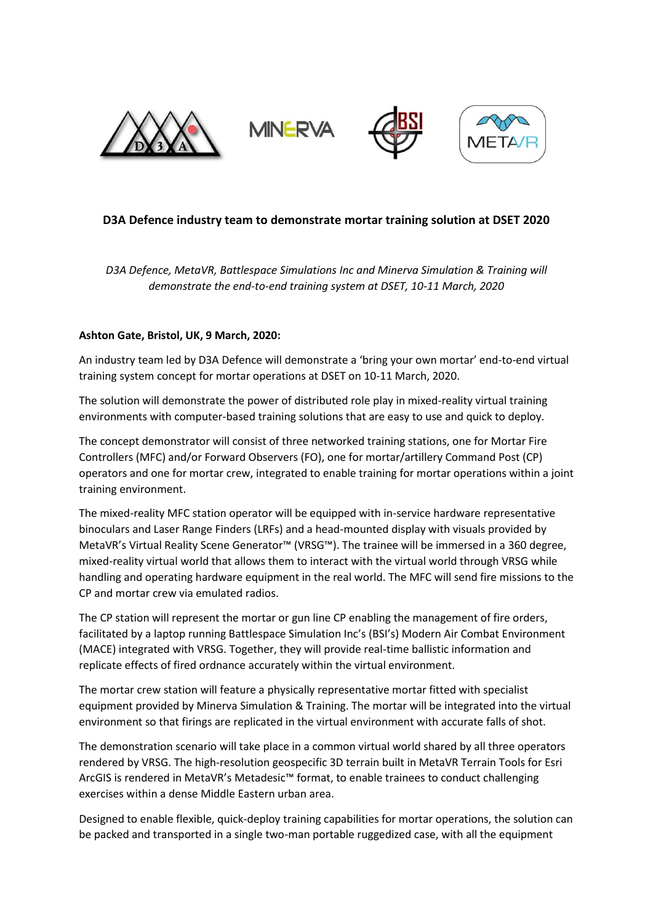

# **D3A Defence industry team to demonstrate mortar training solution at DSET 2020**

*D3A Defence, MetaVR, Battlespace Simulations Inc and Minerva Simulation & Training will demonstrate the end-to-end training system at DSET, 10-11 March, 2020*

## **Ashton Gate, Bristol, UK, 9 March, 2020:**

An industry team led by D3A Defence will demonstrate a 'bring your own mortar' end-to-end virtual training system concept for mortar operations at DSET on 10-11 March, 2020.

The solution will demonstrate the power of distributed role play in mixed-reality virtual training environments with computer-based training solutions that are easy to use and quick to deploy.

The concept demonstrator will consist of three networked training stations, one for Mortar Fire Controllers (MFC) and/or Forward Observers (FO), one for mortar/artillery Command Post (CP) operators and one for mortar crew, integrated to enable training for mortar operations within a joint training environment.

The mixed-reality MFC station operator will be equipped with in-service hardware representative binoculars and Laser Range Finders (LRFs) and a head-mounted display with visuals provided by MetaVR's Virtual Reality Scene Generator™ (VRSG™). The trainee will be immersed in a 360 degree, mixed-reality virtual world that allows them to interact with the virtual world through VRSG while handling and operating hardware equipment in the real world. The MFC will send fire missions to the CP and mortar crew via emulated radios.

The CP station will represent the mortar or gun line CP enabling the management of fire orders, facilitated by a laptop running Battlespace Simulation Inc's (BSI's) Modern Air Combat Environment (MACE) integrated with VRSG. Together, they will provide real-time ballistic information and replicate effects of fired ordnance accurately within the virtual environment.

The mortar crew station will feature a physically representative mortar fitted with specialist equipment provided by Minerva Simulation & Training. The mortar will be integrated into the virtual environment so that firings are replicated in the virtual environment with accurate falls of shot.

The demonstration scenario will take place in a common virtual world shared by all three operators rendered by VRSG. The high-resolution geospecific 3D terrain built in MetaVR Terrain Tools for Esri ArcGIS is rendered in MetaVR's Metadesic™ format, to enable trainees to conduct challenging exercises within a dense Middle Eastern urban area.

Designed to enable flexible, quick-deploy training capabilities for mortar operations, the solution can be packed and transported in a single two-man portable ruggedized case, with all the equipment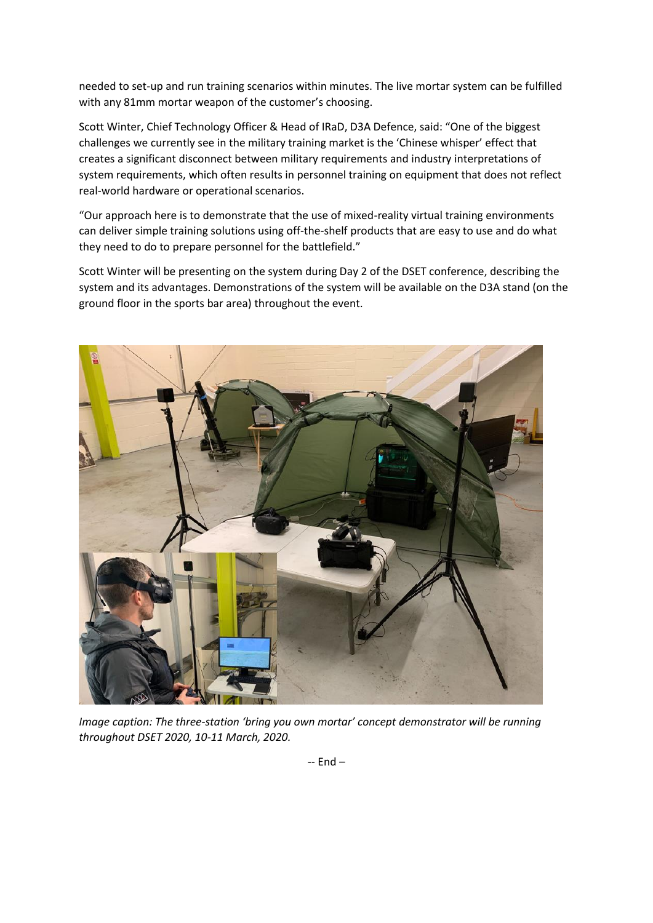needed to set-up and run training scenarios within minutes. The live mortar system can be fulfilled with any 81mm mortar weapon of the customer's choosing.

Scott Winter, Chief Technology Officer & Head of IRaD, D3A Defence, said: "One of the biggest challenges we currently see in the military training market is the 'Chinese whisper' effect that creates a significant disconnect between military requirements and industry interpretations of system requirements, which often results in personnel training on equipment that does not reflect real-world hardware or operational scenarios.

"Our approach here is to demonstrate that the use of mixed-reality virtual training environments can deliver simple training solutions using off-the-shelf products that are easy to use and do what they need to do to prepare personnel for the battlefield."

Scott Winter will be presenting on the system during Day 2 of the DSET conference, describing the system and its advantages. Demonstrations of the system will be available on the D3A stand (on the ground floor in the sports bar area) throughout the event.



*Image caption: The three-station 'bring you own mortar' concept demonstrator will be running throughout DSET 2020, 10-11 March, 2020.*